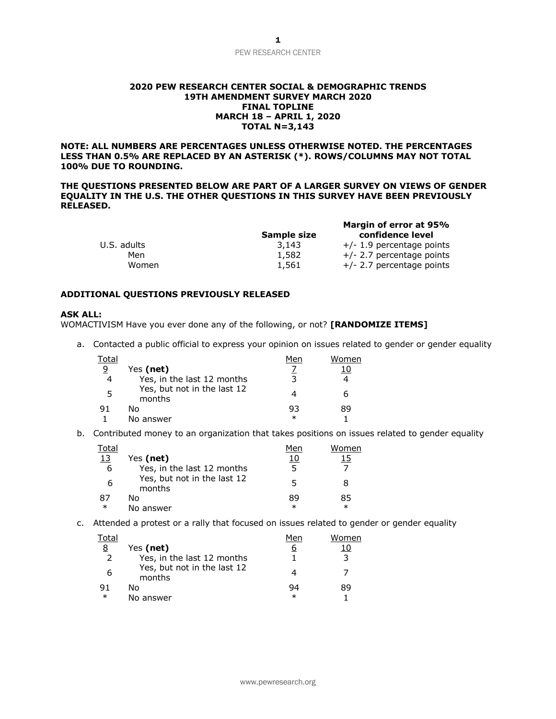# PEW RESEARCH CENTER

#### **2020 PEW RESEARCH CENTER SOCIAL & DEMOGRAPHIC TRENDS 19TH AMENDMENT SURVEY MARCH 2020 FINAL TOPLINE MARCH 18 – APRIL 1, 2020 TOTAL N=3,143**

**NOTE: ALL NUMBERS ARE PERCENTAGES UNLESS OTHERWISE NOTED. THE PERCENTAGES LESS THAN 0.5% ARE REPLACED BY AN ASTERISK (\*). ROWS/COLUMNS MAY NOT TOTAL 100% DUE TO ROUNDING.**

**THE QUESTIONS PRESENTED BELOW ARE PART OF A LARGER SURVEY ON VIEWS OF GENDER EQUALITY IN THE U.S. THE OTHER QUESTIONS IN THIS SURVEY HAVE BEEN PREVIOUSLY RELEASED.**

|             | Sample size | Margin of error at 95%<br>confidence level |
|-------------|-------------|--------------------------------------------|
| U.S. adults | 3,143       | $+/- 1.9$ percentage points                |
| Men         | 1,582       | $+/- 2.7$ percentage points                |
| Women       | 1,561       | $+/- 2.7$ percentage points                |

#### **ADDITIONAL QUESTIONS PREVIOUSLY RELEASED**

### **ASK ALL:**

WOMACTIVISM Have you ever done any of the following, or not? **[RANDOMIZE ITEMS]**

a. Contacted a public official to express your opinion on issues related to gender or gender equality

| Total |                                       | Men | Women |
|-------|---------------------------------------|-----|-------|
| 9     | Yes (net)                             |     |       |
| 4     | Yes, in the last 12 months            |     |       |
|       | Yes, but not in the last 12<br>months |     | 6     |
|       | N٥                                    | 93  | 89    |
|       | No answer                             | ж   |       |

b. Contributed money to an organization that takes positions on issues related to gender equality

| Total      |                                       | Men    | Women  |
|------------|---------------------------------------|--------|--------|
| <u> 13</u> | Yes (net)                             | 10     | 15     |
| -6         | Yes, in the last 12 months            |        |        |
| 6          | Yes, but not in the last 12<br>months | 5      | 8      |
| 87         | N٥                                    | 89     | 85     |
| $\ast$     | No answer                             | $\ast$ | $\ast$ |

c. Attended a protest or a rally that focused on issues related to gender or gender equality

| Total         |                                       | Men     | Women |
|---------------|---------------------------------------|---------|-------|
| 8             | Yes (net)                             | 6       |       |
| $\mathcal{L}$ | Yes, in the last 12 months            |         | ∍     |
| 6             | Yes, but not in the last 12<br>months |         |       |
| -91           | Nο                                    | 94      | 89    |
| $\ast$        | No answer                             | $^\ast$ |       |